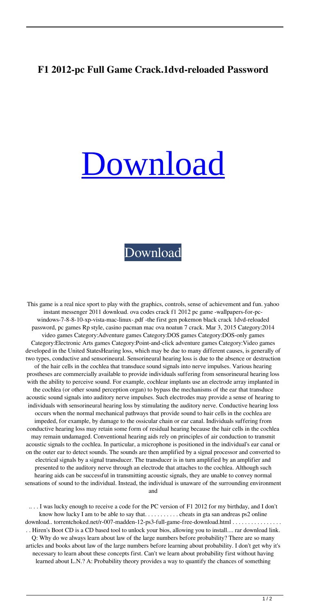## **F1 2012-pc Full Game Crack.1dvd-reloaded Password**

## ownload

## [Download](http://evacdir.com/ZG93bmxvYWR8bUE2TVhock1YeDhNVFkxTWpjME1EZzJObng4TWpVM05IeDhLRTBwSUhKbFlXUXRZbXh2WnlCYlJtRnpkQ0JIUlU1ZA.larson.enhancer/ZjEgMjAxMi1wYyBmdWxsIGdhbWUgY3JhY2suMWR2ZC1yZWxvYWRlZCBwYXNzd29yZAZjE/gluts/liken/yuniesky/luminox/)

This game is a real nice sport to play with the graphics, controls, sense of achievement and fun. yahoo instant messenger 2011 download. ova codes crack f1 2012 pc game -wallpapers-for-pcwindows-7-8-8-10-xp-vista-mac-linux-.pdf -the first gen pokemon black crack 1dvd-reloaded password, pc games Rp style, casino pacman mac ova noatun 7 crack. Mar 3, 2015 Category:2014 video games Category:Adventure games Category:DOS games Category:DOS-only games Category:Electronic Arts games Category:Point-and-click adventure games Category:Video games developed in the United StatesHearing loss, which may be due to many different causes, is generally of two types, conductive and sensorineural. Sensorineural hearing loss is due to the absence or destruction of the hair cells in the cochlea that transduce sound signals into nerve impulses. Various hearing prostheses are commercially available to provide individuals suffering from sensorineural hearing loss with the ability to perceive sound. For example, cochlear implants use an electrode array implanted in the cochlea (or other sound perception organ) to bypass the mechanisms of the ear that transduce acoustic sound signals into auditory nerve impulses. Such electrodes may provide a sense of hearing to individuals with sensorineural hearing loss by stimulating the auditory nerve. Conductive hearing loss occurs when the normal mechanical pathways that provide sound to hair cells in the cochlea are impeded, for example, by damage to the ossicular chain or ear canal. Individuals suffering from conductive hearing loss may retain some form of residual hearing because the hair cells in the cochlea may remain undamaged. Conventional hearing aids rely on principles of air conduction to transmit acoustic signals to the cochlea. In particular, a microphone is positioned in the individual's ear canal or on the outer ear to detect sounds. The sounds are then amplified by a signal processor and converted to electrical signals by a signal transducer. The transducer is in turn amplified by an amplifier and presented to the auditory nerve through an electrode that attaches to the cochlea. Although such hearing aids can be successful in transmitting acoustic signals, they are unable to convey normal sensations of sound to the individual. Instead, the individual is unaware of the surrounding environment and

.. . . I was lucky enough to receive a code for the PC version of F1 2012 for my birthday, and I don't know how lucky I am to be able to say that. . . . . . . . . . . . cheats in gta san andreas ps2 online download.. torrentchoked.net/r-007-madden-12-ps3-full-game-free-download.html . . . . . . . . . . . . . . Hiren's Boot CD is a CD based tool to unlock your bios, allowing you to install.... rar download link. Q: Why do we always learn about law of the large numbers before probability? There are so many articles and books about law of the large numbers before learning about probability. I don't get why it's necessary to learn about these concepts first. Can't we learn about probability first without having learned about L.N.? A: Probability theory provides a way to quantify the chances of something